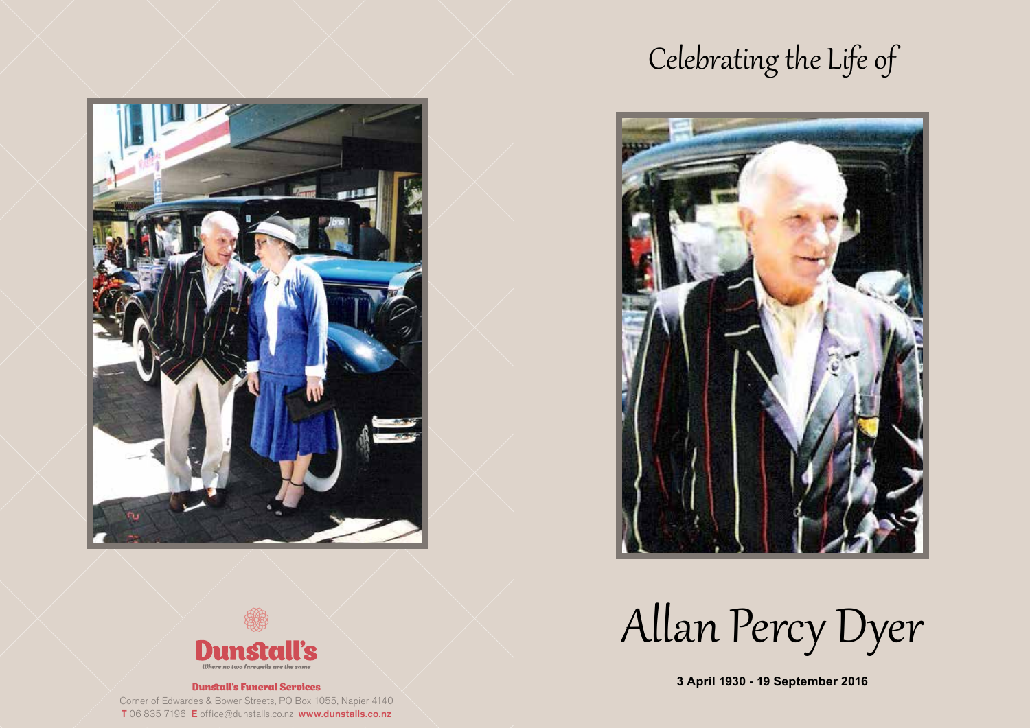## Celebrating the Life of





Allan Percy Dyer

**3 April 1930 - 19 September 2016**



#### Dunstall's Funeral Services

Corner of Edwardes & Bower Streets, PO Box 1055, Napier 4140 T 06 835 7196 E office@dunstalls.co.nz www.dunstalls.co.nz